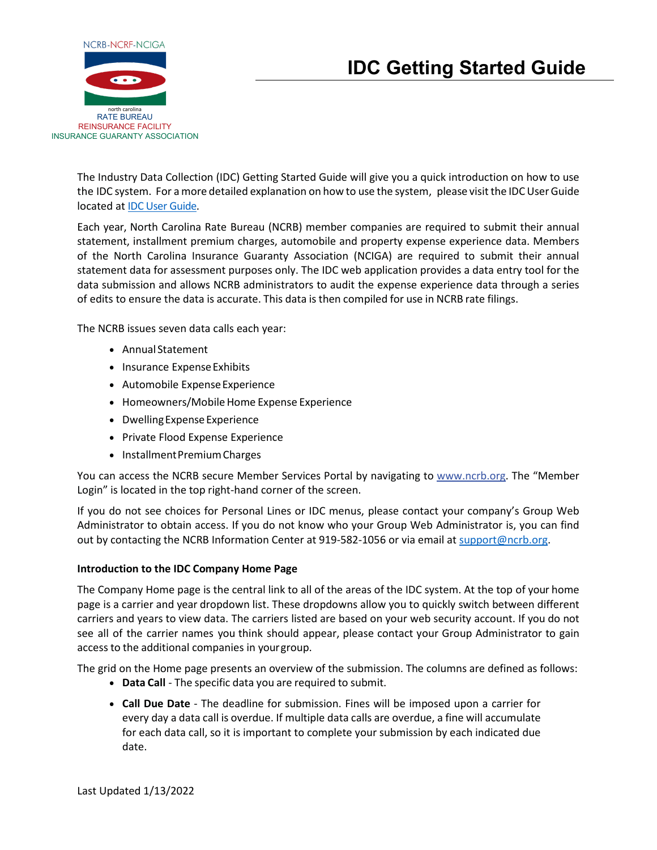

# **IDC Getting Started Guide**

The Industry Data Collection (IDC) Getting Started Guide will give you a quick introduction on how to use the IDC system. For a more detailed explanation on how to use the system, please visit the IDC User Guide located at [IDC User Guide.](http://www.ncrb.org/Portals/0/ncrb/personal%20lines%20services/Annual%20Calls/2022/IDC%20User%20Guide%202022.pdf?ver=2022-01-13-104404-220)

Each year, North Carolina Rate Bureau (NCRB) member companies are required to submit their annual statement, installment premium charges, automobile and property expense experience data. Members of the North Carolina Insurance Guaranty Association (NCIGA) are required to submit their annual statement data for assessment purposes only. The IDC web application provides a data entry tool for the data submission and allows NCRB administrators to audit the expense experience data through a series of edits to ensure the data is accurate. This data is then compiled for use in NCRB rate filings.

The NCRB issues seven data calls each year:

- Annual Statement
- Insurance Expense Exhibits
- Automobile ExpenseExperience
- Homeowners/Mobile Home Expense Experience
- Dwelling Expense Experience
- Private Flood Expense Experience
- InstallmentPremiumCharges

You can access the NCRB secure Member Services Portal by navigating to [www.ncrb.org.](http://www.ncrb.org/) The "Member Login" is located in the top right-hand corner of the screen.

If you do not see choices for Personal Lines or IDC menus, please contact your company's Group Web Administrator to obtain access. If you do not know who your Group Web Administrator is, you can find out by contacting the NCRB Information Center at 919-582-1056 or via email at [support@ncrb.org.](mailto:support@ncrb.org)

## **Introduction to the IDC Company Home Page**

The Company Home page is the central link to all of the areas of the IDC system. At the top of your home page is a carrier and year dropdown list. These dropdowns allow you to quickly switch between different carriers and years to view data. The carriers listed are based on your web security account. If you do not see all of the carrier names you think should appear, please contact your Group Administrator to gain access to the additional companies in yourgroup.

The grid on the Home page presents an overview of the submission. The columns are defined as follows:

- **Data Call** The specific data you are required to submit.
- **Call Due Date** The deadline for submission. Fines will be imposed upon a carrier for every day a data call is overdue. If multiple data calls are overdue, a fine will accumulate for each data call, so it is important to complete your submission by each indicated due date.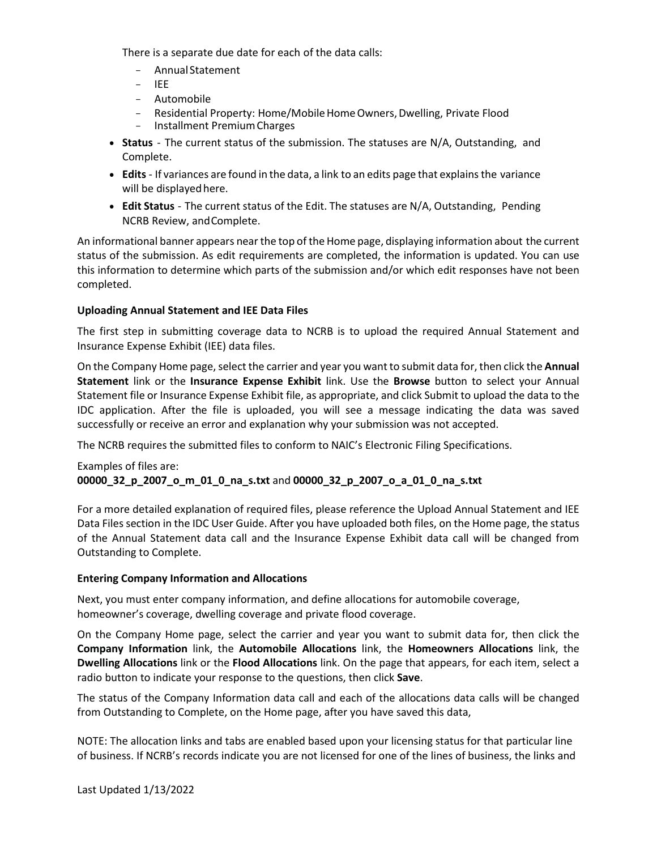There is a separate due date for each of the data calls:

- Annual Statement
- IEE
- Automobile
- Residential Property: Home/Mobile Home Owners, Dwelling, Private Flood
- Installment PremiumCharges
- **Status** The current status of the submission. The statuses are N/A, Outstanding, and Complete.
- **Edits** If variances are found in the data, a link to an edits page that explains the variance will be displayed here.
- **Edit Status** The current status of the Edit. The statuses are N/A, Outstanding, Pending NCRB Review, andComplete.

An informational banner appears nearthe top of the Home page, displaying information about the current status of the submission. As edit requirements are completed, the information is updated. You can use this information to determine which parts of the submission and/or which edit responses have not been completed.

## **Uploading Annual Statement and IEE Data Files**

The first step in submitting coverage data to NCRB is to upload the required Annual Statement and Insurance Expense Exhibit (IEE) data files.

On the Company Home page, select the carrier and year you want to submit data for, then click the **Annual Statement** link or the **Insurance Expense Exhibit** link. Use the **Browse** button to select your Annual Statement file or Insurance Expense Exhibit file, as appropriate, and click Submit to upload the data to the IDC application. After the file is uploaded, you will see a message indicating the data was saved successfully or receive an error and explanation why your submission was not accepted.

The NCRB requires the submitted files to conform to NAIC's Electronic Filing Specifications.

## Examples of files are: **00000\_32\_p\_2007\_o\_m\_01\_0\_na\_s.txt** and **00000\_32\_p\_2007\_o\_a\_01\_0\_na\_s.txt**

For a more detailed explanation of required files, please reference the Upload Annual Statement and IEE Data Files section in the IDC User Guide. After you have uploaded both files, on the Home page, the status of the Annual Statement data call and the Insurance Expense Exhibit data call will be changed from Outstanding to Complete.

## **Entering Company Information and Allocations**

Next, you must enter company information, and define allocations for automobile coverage, homeowner's coverage, dwelling coverage and private flood coverage.

On the Company Home page, select the carrier and year you want to submit data for, then click the **Company Information** link, the **Automobile Allocations** link, the **Homeowners Allocations** link, the **Dwelling Allocations** link or the **Flood Allocations** link. On the page that appears, for each item, select a radio button to indicate your response to the questions, then click **Save**.

The status of the Company Information data call and each of the allocations data calls will be changed from Outstanding to Complete, on the Home page, after you have saved this data,

NOTE: The allocation links and tabs are enabled based upon your licensing status for that particular line of business. If NCRB's records indicate you are not licensed for one of the lines of business, the links and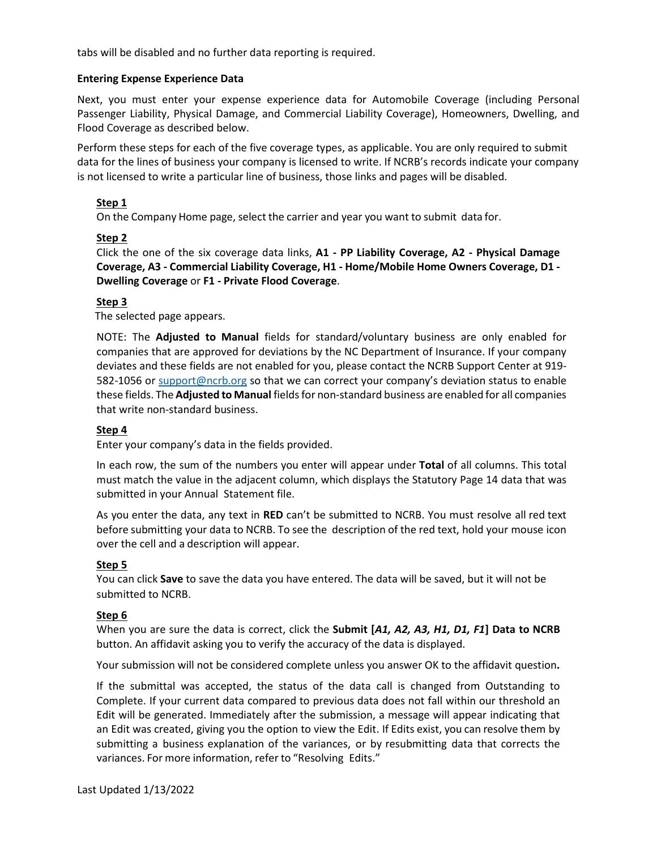tabs will be disabled and no further data reporting is required.

## **Entering Expense Experience Data**

Next, you must enter your expense experience data for Automobile Coverage (including Personal Passenger Liability, Physical Damage, and Commercial Liability Coverage), Homeowners, Dwelling, and Flood Coverage as described below.

Perform these steps for each of the five coverage types, as applicable. You are only required to submit data for the lines of business your company is licensed to write. If NCRB's records indicate your company is not licensed to write a particular line of business, those links and pages will be disabled.

## **Step 1**

On the Company Home page, select the carrier and year you want to submit data for.

## **Step 2**

Click the one of the six coverage data links, **A1 - PP Liability Coverage, A2 - Physical Damage Coverage, A3 - Commercial Liability Coverage, H1 - Home/Mobile Home Owners Coverage, D1 - Dwelling Coverage** or **F1 - Private Flood Coverage**.

#### **Step 3**

The selected page appears.

NOTE: The **Adjusted to Manual** fields for standard/voluntary business are only enabled for companies that are approved for deviations by the NC Department of Insurance. If your company deviates and these fields are not enabled for you, please contact the NCRB Support Center at 919- 582-1056 or [support@ncrb.org](mailto:support@ncrb.org) so that we can correct your company's deviation status to enable these fields. The **Adjusted to Manual** fields for non-standard business are enabled for all companies that write non-standard business.

#### **Step 4**

Enter your company's data in the fields provided.

In each row, the sum of the numbers you enter will appear under **Total** of all columns. This total must match the value in the adjacent column, which displays the Statutory Page 14 data that was submitted in your Annual Statement file.

As you enter the data, any text in **RED** can't be submitted to NCRB. You must resolve all red text before submitting your data to NCRB. To see the description of the red text, hold your mouse icon over the cell and a description will appear.

## **Step 5**

You can click **Save** to save the data you have entered. The data will be saved, but it will not be submitted to NCRB.

#### **Step 6**

When you are sure the data is correct, click the **Submit [***A1, A2, A3, H1, D1, F1***] Data to NCRB** button. An affidavit asking you to verify the accuracy of the data is displayed.

Your submission will not be considered complete unless you answer OK to the affidavit question**.**

If the submittal was accepted, the status of the data call is changed from Outstanding to Complete. If your current data compared to previous data does not fall within our threshold an Edit will be generated. Immediately after the submission, a message will appear indicating that an Edit was created, giving you the option to view the Edit. If Edits exist, you can resolve them by submitting a business explanation of the variances, or by resubmitting data that corrects the variances. For more information, refer to "Resolving Edits."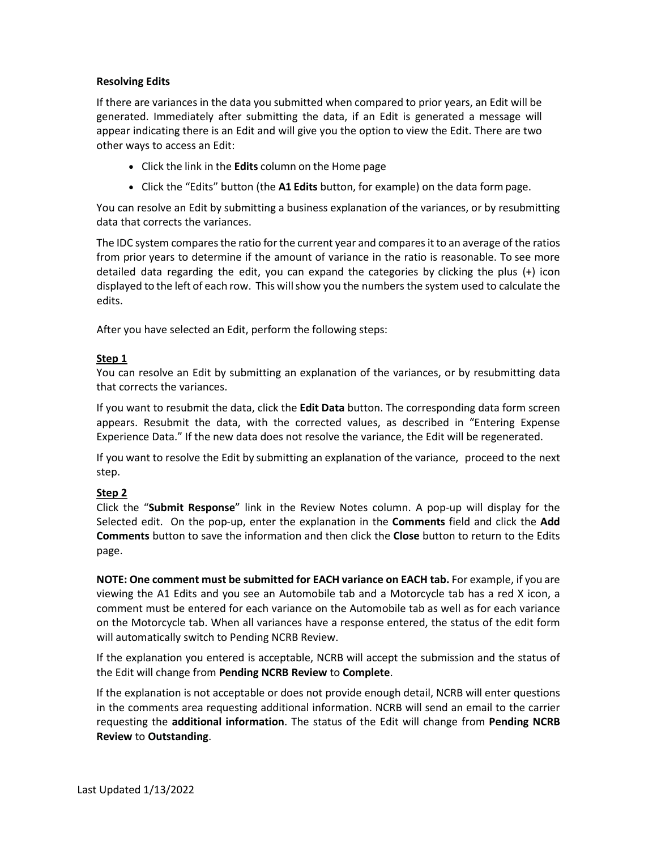## **Resolving Edits**

If there are variances in the data you submitted when compared to prior years, an Edit will be generated. Immediately after submitting the data, if an Edit is generated a message will appear indicating there is an Edit and will give you the option to view the Edit. There are two other ways to access an Edit:

- Click the link in the **Edits** column on the Home page
- Click the "Edits" button (the **A1 Edits** button, for example) on the data formpage.

You can resolve an Edit by submitting a business explanation of the variances, or by resubmitting data that corrects the variances.

The IDC system compares the ratio for the current year and compares it to an average of the ratios from prior years to determine if the amount of variance in the ratio is reasonable. To see more detailed data regarding the edit, you can expand the categories by clicking the plus (+) icon displayed to the left of each row. This willshow you the numbers the system used to calculate the edits.

After you have selected an Edit, perform the following steps:

## **Step 1**

You can resolve an Edit by submitting an explanation of the variances, or by resubmitting data that corrects the variances.

If you want to resubmit the data, click the **Edit Data** button. The corresponding data form screen appears. Resubmit the data, with the corrected values, as described in "Entering Expense Experience Data." If the new data does not resolve the variance, the Edit will be regenerated.

If you want to resolve the Edit by submitting an explanation of the variance, proceed to the next step.

## **Step 2**

Click the "**Submit Response**" link in the Review Notes column. A pop-up will display for the Selected edit. On the pop-up, enter the explanation in the **Comments** field and click the **Add Comments** button to save the information and then click the **Close** button to return to the Edits page.

**NOTE: One comment must be submitted for EACH variance on EACH tab.** For example, if you are viewing the A1 Edits and you see an Automobile tab and a Motorcycle tab has a red X icon, a comment must be entered for each variance on the Automobile tab as well as for each variance on the Motorcycle tab. When all variances have a response entered, the status of the edit form will automatically switch to Pending NCRB Review.

If the explanation you entered is acceptable, NCRB will accept the submission and the status of the Edit will change from **Pending NCRB Review** to **Complete**.

If the explanation is not acceptable or does not provide enough detail, NCRB will enter questions in the comments area requesting additional information. NCRB will send an email to the carrier requesting the **additional information**. The status of the Edit will change from **Pending NCRB Review** to **Outstanding**.